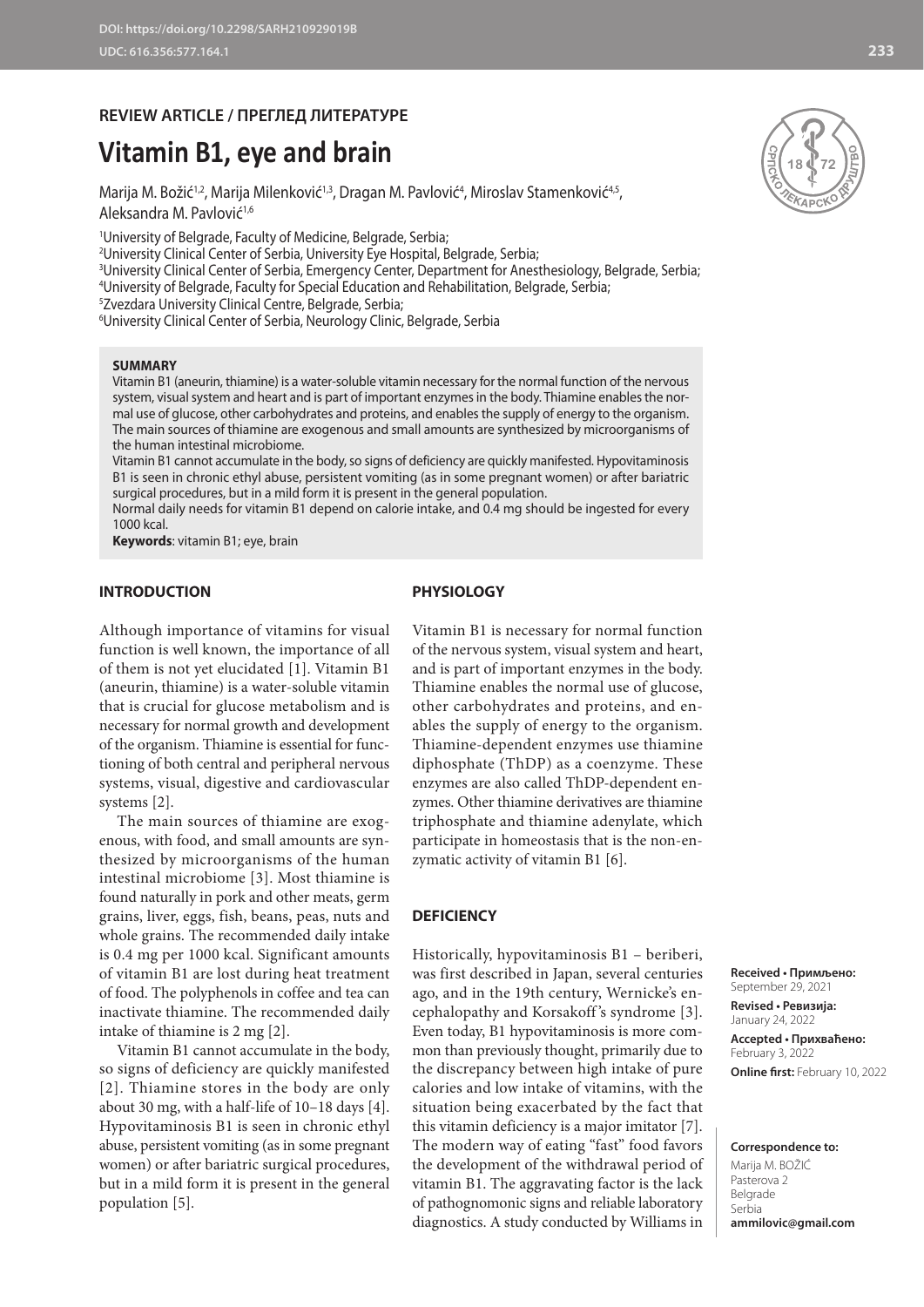# **REVIEW ARTICLE / ПРЕГЛЕД ЛИТЕРАТУРЕ**

# **Vitamin B1, eye and brain**

Marija M. Božić $^{1,2}$ , Marija Milenković $^{1,3}$ , Dragan M. Pavlović $^{4}$ , Miroslav Stamenković $^{4,5}$ , Aleksandra M. Pavlović<sup>1,6</sup>

1 University of Belgrade, Faculty of Medicine, Belgrade, Serbia;

2 University Clinical Center of Serbia, University Eye Hospital, Belgrade, Serbia;

3 University Clinical Center of Serbia, Emergency Center, Department for Anesthesiology, Belgrade, Serbia;

4 University of Belgrade, Faculty for Special Education and Rehabilitation, Belgrade, Serbia;

5 Zvezdara University Clinical Centre, Belgrade, Serbia;

6 University Clinical Center of Serbia, Neurology Clinic, Belgrade, Serbia

# **SUMMARY**

Vitamin B1 (aneurin, thiamine) is a water-soluble vitamin necessary for the normal function of the nervous system, visual system and heart and is part of important enzymes in the body. Thiamine enables the normal use of glucose, other carbohydrates and proteins, and enables the supply of energy to the organism. The main sources of thiamine are exogenous and small amounts are synthesized by microorganisms of the human intestinal microbiome.

Vitamin B1 cannot accumulate in the body, so signs of deficiency are quickly manifested. Hypovitaminosis B1 is seen in chronic ethyl abuse, persistent vomiting (as in some pregnant women) or after bariatric surgical procedures, but in a mild form it is present in the general population.

Normal daily needs for vitamin B1 depend on calorie intake, and 0.4 mg should be ingested for every 1000 kcal.

**Keywords**: vitamin B1; eye, brain

# **INTRODUCTION**

### **PHYSIOLOGY**

Although importance of vitamins for visual function is well known, the importance of all of them is not yet elucidated [1]. Vitamin B1 (aneurin, thiamine) is a water-soluble vitamin that is crucial for glucose metabolism and is necessary for normal growth and development of the organism. Thiamine is essential for functioning of both central and peripheral nervous systems, visual, digestive and cardiovascular systems [2].

The main sources of thiamine are exogenous, with food, and small amounts are synthesized by microorganisms of the human intestinal microbiome [3]. Most thiamine is found naturally in pork and other meats, germ grains, liver, eggs, fish, beans, peas, nuts and whole grains. The recommended daily intake is 0.4 mg per 1000 kcal. Significant amounts of vitamin B1 are lost during heat treatment of food. The polyphenols in coffee and tea can inactivate thiamine. The recommended daily intake of thiamine is 2 mg [2].

Vitamin B1 cannot accumulate in the body, so signs of deficiency are quickly manifested [2]. Thiamine stores in the body are only about 30 mg, with a half-life of 10–18 days [4]. Hypovitaminosis B1 is seen in chronic ethyl abuse, persistent vomiting (as in some pregnant women) or after bariatric surgical procedures, but in a mild form it is present in the general population [5].

Vitamin B1 is necessary for normal function of the nervous system, visual system and heart, and is part of important enzymes in the body. Thiamine enables the normal use of glucose, other carbohydrates and proteins, and enables the supply of energy to the organism. Thiamine-dependent enzymes use thiamine diphosphate (ThDP) as a coenzyme. These enzymes are also called ThDP-dependent enzymes. Other thiamine derivatives are thiamine triphosphate and thiamine adenylate, which participate in homeostasis that is the non-enzymatic activity of vitamin B1 [6].

#### **DEFICIENCY**

Historically, hypovitaminosis B1 – beriberi, was first described in Japan, several centuries ago, and in the 19th century, Wernicke's encephalopathy and Korsakoff 's syndrome [3]. Even today, B1 hypovitaminosis is more common than previously thought, primarily due to the discrepancy between high intake of pure calories and low intake of vitamins, with the situation being exacerbated by the fact that this vitamin deficiency is a major imitator [7]. The modern way of eating "fast" food favors the development of the withdrawal period of vitamin B1. The aggravating factor is the lack of pathognomonic signs and reliable laboratory diagnostics. A study conducted by Williams in



**Received • Примљено:** 

September 29, 2021 **Revised • Ревизија:**  January 24, 2022 **Accepted • Прихваћено:** February 3, 2022 **Online first:** February 10, 2022

**Correspondence to:** Marija M. BOŽIĆ Pasterova 2 Belgrade Serbia **ammilovic@gmail.com**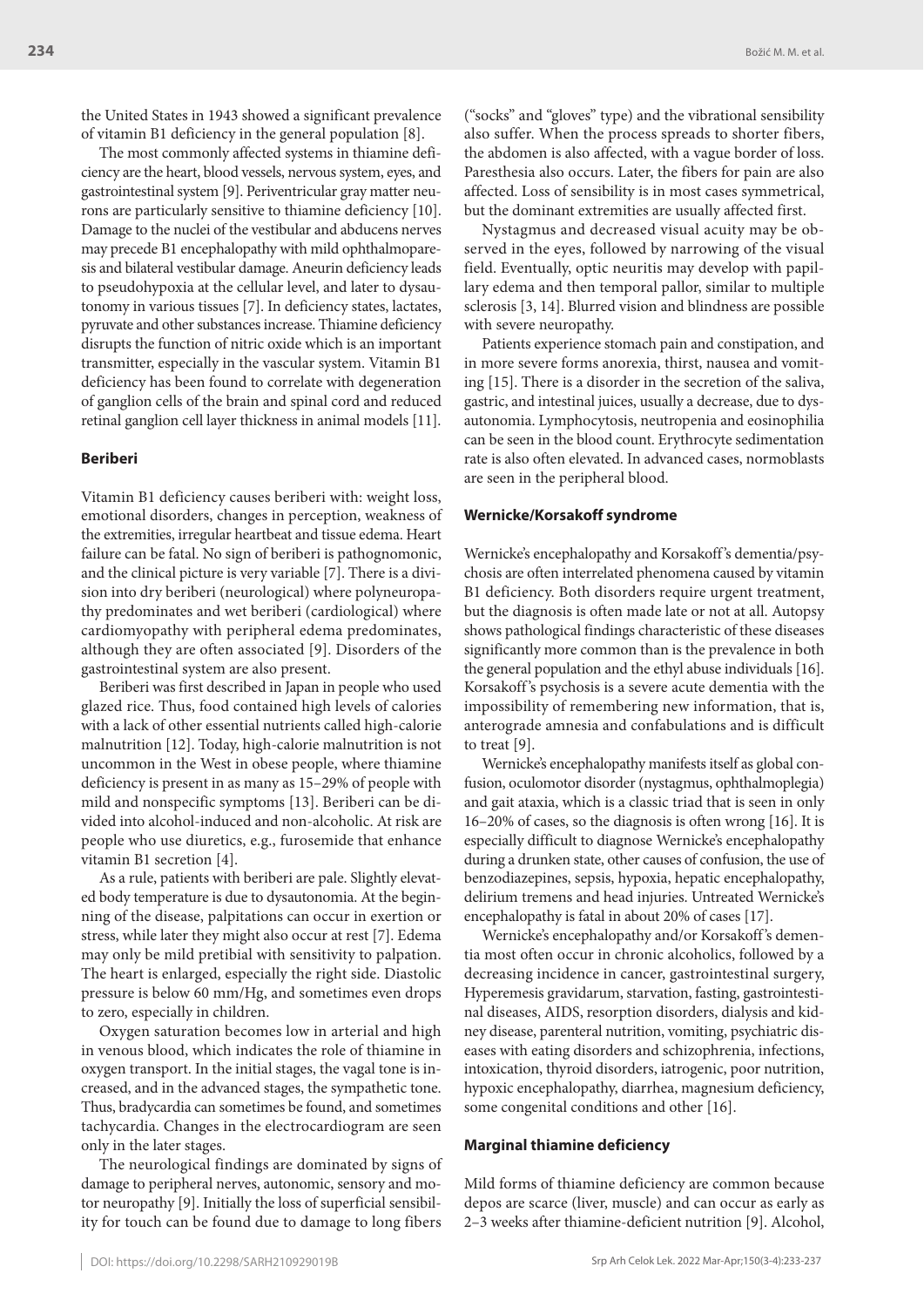the United States in 1943 showed a significant prevalence of vitamin B1 deficiency in the general population [8].

The most commonly affected systems in thiamine deficiency are the heart, blood vessels, nervous system, eyes, and gastrointestinal system [9]. Periventricular gray matter neurons are particularly sensitive to thiamine deficiency [10]. Damage to the nuclei of the vestibular and abducens nerves may precede B1 encephalopathy with mild ophthalmoparesis and bilateral vestibular damage. Aneurin deficiency leads to pseudohypoxia at the cellular level, and later to dysautonomy in various tissues [7]. In deficiency states, lactates, pyruvate and other substances increase. Thiamine deficiency disrupts the function of nitric oxide which is an important transmitter, especially in the vascular system. Vitamin B1 deficiency has been found to correlate with degeneration of ganglion cells of the brain and spinal cord and reduced retinal ganglion cell layer thickness in animal models [11].

#### **Beriberi**

Vitamin B1 deficiency causes beriberi with: weight loss, emotional disorders, changes in perception, weakness of the extremities, irregular heartbeat and tissue edema. Heart failure can be fatal. No sign of beriberi is pathognomonic, and the clinical picture is very variable [7]. There is a division into dry beriberi (neurological) where polyneuropathy predominates and wet beriberi (cardiological) where cardiomyopathy with peripheral edema predominates, although they are often associated [9]. Disorders of the gastrointestinal system are also present.

Beriberi was first described in Japan in people who used glazed rice. Thus, food contained high levels of calories with a lack of other essential nutrients called high-calorie malnutrition [12]. Today, high-calorie malnutrition is not uncommon in the West in obese people, where thiamine deficiency is present in as many as 15–29% of people with mild and nonspecific symptoms [13]. Beriberi can be divided into alcohol-induced and non-alcoholic. At risk are people who use diuretics, e.g., furosemide that enhance vitamin B1 secretion [4].

As a rule, patients with beriberi are pale. Slightly elevated body temperature is due to dysautonomia. At the beginning of the disease, palpitations can occur in exertion or stress, while later they might also occur at rest [7]. Edema may only be mild pretibial with sensitivity to palpation. The heart is enlarged, especially the right side. Diastolic pressure is below 60 mm/Hg, and sometimes even drops to zero, especially in children.

Oxygen saturation becomes low in arterial and high in venous blood, which indicates the role of thiamine in oxygen transport. In the initial stages, the vagal tone is increased, and in the advanced stages, the sympathetic tone. Thus, bradycardia can sometimes be found, and sometimes tachycardia. Changes in the electrocardiogram are seen only in the later stages.

The neurological findings are dominated by signs of damage to peripheral nerves, autonomic, sensory and motor neuropathy [9]. Initially the loss of superficial sensibility for touch can be found due to damage to long fibers

("socks" and "gloves" type) and the vibrational sensibility also suffer. When the process spreads to shorter fibers, the abdomen is also affected, with a vague border of loss. Paresthesia also occurs. Later, the fibers for pain are also affected. Loss of sensibility is in most cases symmetrical, but the dominant extremities are usually affected first.

Nystagmus and decreased visual acuity may be observed in the eyes, followed by narrowing of the visual field. Eventually, optic neuritis may develop with papillary edema and then temporal pallor, similar to multiple sclerosis [3, 14]. Blurred vision and blindness are possible with severe neuropathy.

Patients experience stomach pain and constipation, and in more severe forms anorexia, thirst, nausea and vomiting [15]. There is a disorder in the secretion of the saliva, gastric, and intestinal juices, usually a decrease, due to dysautonomia. Lymphocytosis, neutropenia and eosinophilia can be seen in the blood count. Erythrocyte sedimentation rate is also often elevated. In advanced cases, normoblasts are seen in the peripheral blood.

# **Wernicke/Korsakoff syndrome**

Wernicke's encephalopathy and Korsakoff 's dementia/psychosis are often interrelated phenomena caused by vitamin B1 deficiency. Both disorders require urgent treatment, but the diagnosis is often made late or not at all. Autopsy shows pathological findings characteristic of these diseases significantly more common than is the prevalence in both the general population and the ethyl abuse individuals [16]. Korsakoff 's psychosis is a severe acute dementia with the impossibility of remembering new information, that is, anterograde amnesia and confabulations and is difficult to treat [9].

Wernicke's encephalopathy manifests itself as global confusion, oculomotor disorder (nystagmus, ophthalmoplegia) and gait ataxia, which is a classic triad that is seen in only 16–20% of cases, so the diagnosis is often wrong [16]. It is especially difficult to diagnose Wernicke's encephalopathy during a drunken state, other causes of confusion, the use of benzodiazepines, sepsis, hypoxia, hepatic encephalopathy, delirium tremens and head injuries. Untreated Wernicke's encephalopathy is fatal in about 20% of cases [17].

Wernicke's encephalopathy and/or Korsakoff 's dementia most often occur in chronic alcoholics, followed by a decreasing incidence in cancer, gastrointestinal surgery, Hyperemesis gravidarum, starvation, fasting, gastrointestinal diseases, AIDS, resorption disorders, dialysis and kidney disease, parenteral nutrition, vomiting, psychiatric diseases with eating disorders and schizophrenia, infections, intoxication, thyroid disorders, iatrogenic, poor nutrition, hypoxic encephalopathy, diarrhea, magnesium deficiency, some congenital conditions and other [16].

#### **Marginal thiamine deficiency**

Mild forms of thiamine deficiency are common because depos are scarce (liver, muscle) and can occur as early as 2–3 weeks after thiamine-deficient nutrition [9]. Alcohol,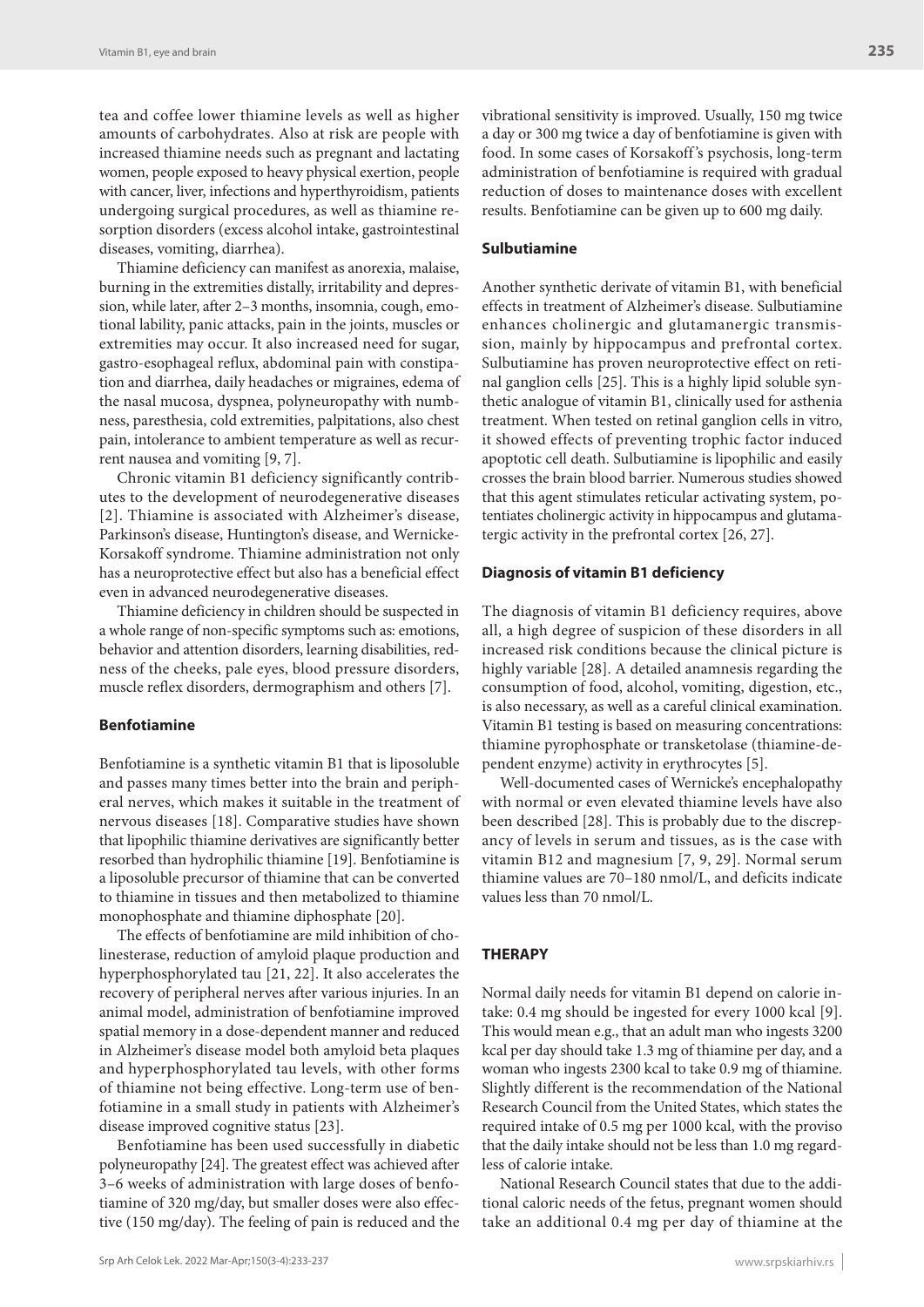tea and coffee lower thiamine levels as well as higher amounts of carbohydrates. Also at risk are people with increased thiamine needs such as pregnant and lactating women, people exposed to heavy physical exertion, people with cancer, liver, infections and hyperthyroidism, patients undergoing surgical procedures, as well as thiamine resorption disorders (excess alcohol intake, gastrointestinal diseases, vomiting, diarrhea).

Thiamine deficiency can manifest as anorexia, malaise, burning in the extremities distally, irritability and depression, while later, after 2–3 months, insomnia, cough, emotional lability, panic attacks, pain in the joints, muscles or extremities may occur. It also increased need for sugar, gastro-esophageal reflux, abdominal pain with constipation and diarrhea, daily headaches or migraines, edema of the nasal mucosa, dyspnea, polyneuropathy with numbness, paresthesia, cold extremities, palpitations, also chest pain, intolerance to ambient temperature as well as recurrent nausea and vomiting [9, 7].

Chronic vitamin B1 deficiency significantly contributes to the development of neurodegenerative diseases [2]. Thiamine is associated with Alzheimer's disease, Parkinson's disease, Huntington's disease, and Wernicke-Korsakoff syndrome. Thiamine administration not only has a neuroprotective effect but also has a beneficial effect even in advanced neurodegenerative diseases.

Thiamine deficiency in children should be suspected in a whole range of non-specific symptoms such as: emotions, behavior and attention disorders, learning disabilities, redness of the cheeks, pale eyes, blood pressure disorders, muscle reflex disorders, dermographism and others [7].

#### **Benfotiamine**

Benfotiamine is a synthetic vitamin B1 that is liposoluble and passes many times better into the brain and peripheral nerves, which makes it suitable in the treatment of nervous diseases [18]. Comparative studies have shown that lipophilic thiamine derivatives are significantly better resorbed than hydrophilic thiamine [19]. Benfotiamine is a liposoluble precursor of thiamine that can be converted to thiamine in tissues and then metabolized to thiamine monophosphate and thiamine diphosphate [20].

The effects of benfotiamine are mild inhibition of cholinesterase, reduction of amyloid plaque production and hyperphosphorylated tau [21, 22]. It also accelerates the recovery of peripheral nerves after various injuries. In an animal model, administration of benfotiamine improved spatial memory in a dose-dependent manner and reduced in Alzheimer's disease model both amyloid beta plaques and hyperphosphorylated tau levels, with other forms of thiamine not being effective. Long-term use of benfotiamine in a small study in patients with Alzheimer's disease improved cognitive status [23].

Benfotiamine has been used successfully in diabetic polyneuropathy [24]. The greatest effect was achieved after 3–6 weeks of administration with large doses of benfotiamine of 320 mg/day, but smaller doses were also effective (150 mg/day). The feeling of pain is reduced and the

#### **Sulbutiamine**

Another synthetic derivate of vitamin B1, with beneficial effects in treatment of Alzheimer's disease. Sulbutiamine enhances cholinergic and glutamanergic transmission, mainly by hippocampus and prefrontal cortex. Sulbutiamine has proven neuroprotective effect on retinal ganglion cells [25]. This is a highly lipid soluble synthetic analogue of vitamin B1, clinically used for asthenia treatment. When tested on retinal ganglion cells in vitro, it showed effects of preventing trophic factor induced apoptotic cell death. Sulbutiamine is lipophilic and easily crosses the brain blood barrier. Numerous studies showed that this agent stimulates reticular activating system, potentiates cholinergic activity in hippocampus and glutamatergic activity in the prefrontal cortex [26, 27].

#### **Diagnosis of vitamin B1 deficiency**

The diagnosis of vitamin B1 deficiency requires, above all, a high degree of suspicion of these disorders in all increased risk conditions because the clinical picture is highly variable [28]. A detailed anamnesis regarding the consumption of food, alcohol, vomiting, digestion, etc., is also necessary, as well as a careful clinical examination. Vitamin B1 testing is based on measuring concentrations: thiamine pyrophosphate or transketolase (thiamine-dependent enzyme) activity in erythrocytes [5].

Well-documented cases of Wernicke's encephalopathy with normal or even elevated thiamine levels have also been described [28]. This is probably due to the discrepancy of levels in serum and tissues, as is the case with vitamin B12 and magnesium [7, 9, 29]. Normal serum thiamine values are 70–180 nmol/L, and deficits indicate values less than 70 nmol/L.

#### **THERAPY**

Normal daily needs for vitamin B1 depend on calorie intake: 0.4 mg should be ingested for every 1000 kcal [9]. This would mean e.g., that an adult man who ingests 3200 kcal per day should take 1.3 mg of thiamine per day, and a woman who ingests 2300 kcal to take 0.9 mg of thiamine. Slightly different is the recommendation of the National Research Council from the United States, which states the required intake of 0.5 mg per 1000 kcal, with the proviso that the daily intake should not be less than 1.0 mg regardless of calorie intake.

National Research Council states that due to the additional caloric needs of the fetus, pregnant women should take an additional 0.4 mg per day of thiamine at the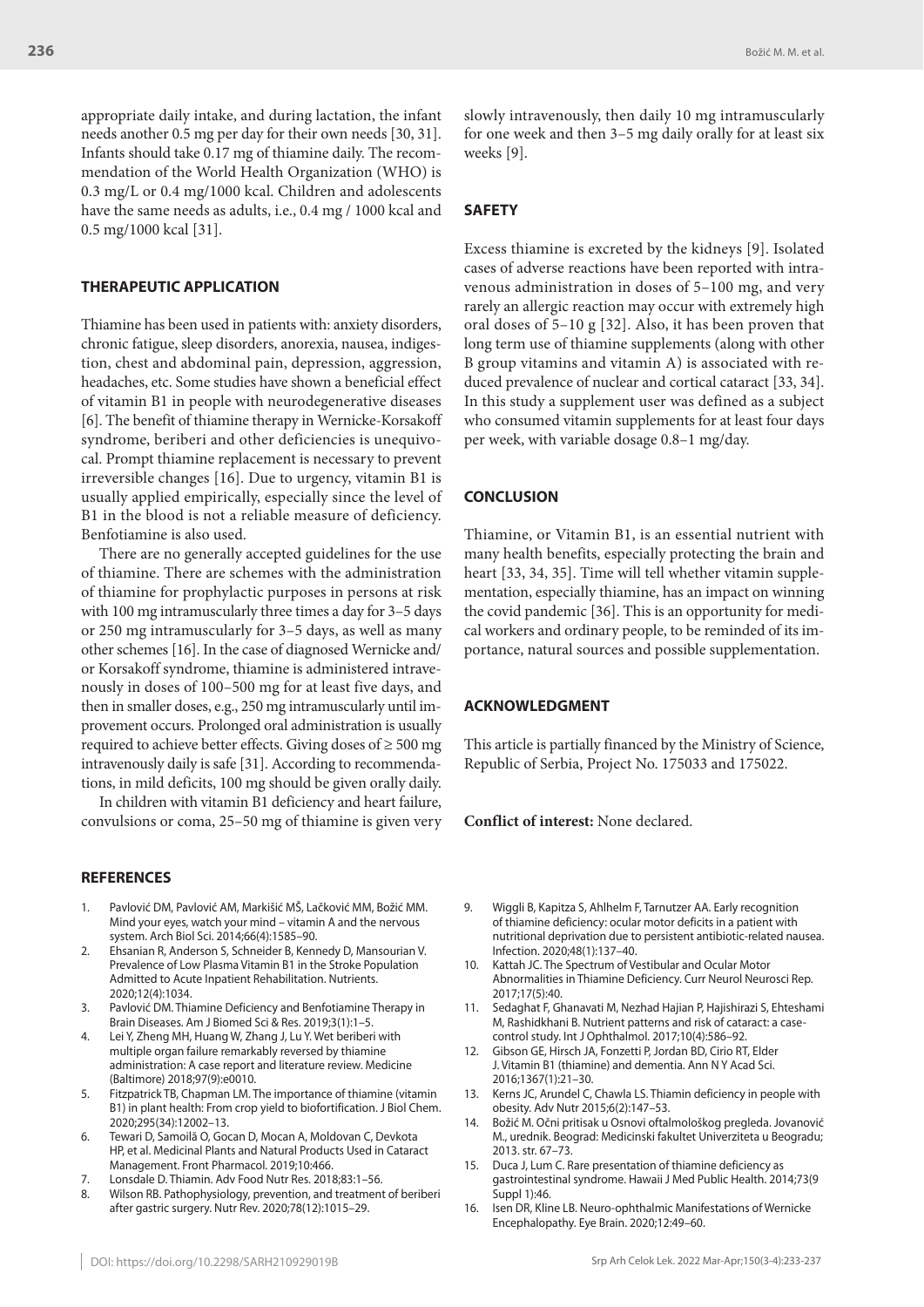Božić M. M. et al.

appropriate daily intake, and during lactation, the infant needs another 0.5 mg per day for their own needs [30, 31]. Infants should take 0.17 mg of thiamine daily. The recommendation of the World Health Organization (WHO) is 0.3 mg/L or 0.4 mg/1000 kcal. Children and adolescents have the same needs as adults, i.e., 0.4 mg / 1000 kcal and 0.5 mg/1000 kcal [31].

# **THERAPEUTIC APPLICATION**

Thiamine has been used in patients with: anxiety disorders, chronic fatigue, sleep disorders, anorexia, nausea, indigestion, chest and abdominal pain, depression, aggression, headaches, etc. Some studies have shown a beneficial effect of vitamin B1 in people with neurodegenerative diseases [6]. The benefit of thiamine therapy in Wernicke-Korsakoff syndrome, beriberi and other deficiencies is unequivocal. Prompt thiamine replacement is necessary to prevent irreversible changes [16]. Due to urgency, vitamin B1 is usually applied empirically, especially since the level of B1 in the blood is not a reliable measure of deficiency. Benfotiamine is also used.

There are no generally accepted guidelines for the use of thiamine. There are schemes with the administration of thiamine for prophylactic purposes in persons at risk with 100 mg intramuscularly three times a day for 3–5 days or 250 mg intramuscularly for 3–5 days, as well as many other schemes [16]. In the case of diagnosed Wernicke and/ or Korsakoff syndrome, thiamine is administered intravenously in doses of 100–500 mg for at least five days, and then in smaller doses, e.g., 250 mg intramuscularly until improvement occurs. Prolonged oral administration is usually required to achieve better effects. Giving doses of ≥ 500 mg intravenously daily is safe [31]. According to recommendations, in mild deficits, 100 mg should be given orally daily.

In children with vitamin B1 deficiency and heart failure, convulsions or coma, 25–50 mg of thiamine is given very

#### **REFERENCES**

- 1. Pavlović DM, Pavlović AM, Markišić MŠ, Lačković MM, Božić MM. Mind your eyes, watch your mind – vitamin A and the nervous system. Arch Biol Sci. 2014;66(4):1585–90.
- 2. Ehsanian R, Anderson S, Schneider B, Kennedy D, Mansourian V. Prevalence of Low Plasma Vitamin B1 in the Stroke Population Admitted to Acute Inpatient Rehabilitation. Nutrients. 2020;12(4):1034.
- 3. Pavlović DM. Thiamine Deficiency and Benfotiamine Therapy in Brain Diseases. Am J Biomed Sci & Res. 2019;3(1):1–5.
- Lei Y, Zheng MH, Huang W, Zhang J, Lu Y. Wet beriberi with multiple organ failure remarkably reversed by thiamine administration: A case report and literature review. Medicine (Baltimore) 2018;97(9):e0010.
- 5. Fitzpatrick TB, Chapman LM. The importance of thiamine (vitamin B1) in plant health: From crop yield to biofortification. J Biol Chem. 2020;295(34):12002–13.
- 6. Tewari D, Samoilă O, Gocan D, Mocan A, Moldovan C, Devkota HP, et al. Medicinal Plants and Natural Products Used in Cataract Management. Front Pharmacol. 2019;10:466.
- Lonsdale D. Thiamin. Adv Food Nutr Res. 2018;83:1-56.
- 8. Wilson RB. Pathophysiology, prevention, and treatment of beriberi after gastric surgery. Nutr Rev. 2020;78(12):1015–29.

slowly intravenously, then daily 10 mg intramuscularly for one week and then 3–5 mg daily orally for at least six weeks [9].

# **SAFETY**

Excess thiamine is excreted by the kidneys [9]. Isolated cases of adverse reactions have been reported with intravenous administration in doses of 5–100 mg, and very rarely an allergic reaction may occur with extremely high oral doses of 5–10 g [32]. Also, it has been proven that long term use of thiamine supplements (along with other B group vitamins and vitamin A) is associated with reduced prevalence of nuclear and cortical cataract [33, 34]. In this study a supplement user was defined as a subject who consumed vitamin supplements for at least four days per week, with variable dosage 0.8–1 mg/day.

#### **CONCLUSION**

Thiamine, or Vitamin B1, is an essential nutrient with many health benefits, especially protecting the brain and heart [33, 34, 35]. Time will tell whether vitamin supplementation, especially thiamine, has an impact on winning the covid pandemic [36]. This is an opportunity for medical workers and ordinary people, to be reminded of its importance, natural sources and possible supplementation.

#### **ACKNOWLEDGMENT**

This article is partially financed by the Ministry of Science, Republic of Serbia, Project No. 175033 and 175022.

#### **Conflict of interest:** None declared.

- 9. Wiggli B, Kapitza S, Ahlhelm F, Tarnutzer AA. Early recognition of thiamine deficiency: ocular motor deficits in a patient with nutritional deprivation due to persistent antibiotic-related nausea. Infection. 2020;48(1):137–40.
- 10. Kattah JC. The Spectrum of Vestibular and Ocular Motor Abnormalities in Thiamine Deficiency. Curr Neurol Neurosci Rep. 2017;17(5):40.
- 11. Sedaghat F, Ghanavati M, Nezhad Hajian P, Hajishirazi S, Ehteshami M, Rashidkhani B. Nutrient patterns and risk of cataract: a casecontrol study. Int J Ophthalmol. 2017;10(4):586–92.
- 12. Gibson GE, Hirsch JA, Fonzetti P, Jordan BD, Cirio RT, Elder J. Vitamin B1 (thiamine) and dementia. Ann N Y Acad Sci. 2016;1367(1):21–30.
- 13. Kerns JC, Arundel C, Chawla LS. Thiamin deficiency in people with obesity. Adv Nutr 2015;6(2):147–53.
- 14. Božić M. Očni pritisak u Osnovi oftalmološkog pregleda. Jovanović M., urednik. Beograd: Medicinski fakultet Univerziteta u Beogradu; 2013. str. 67–73.
- 15. Duca J, Lum C. Rare presentation of thiamine deficiency as gastrointestinal syndrome. Hawaii J Med Public Health. 2014;73(9 Suppl 1):46.
- 16. Isen DR, Kline LB. Neuro-ophthalmic Manifestations of Wernicke Encephalopathy. Eye Brain. 2020;12:49–60.